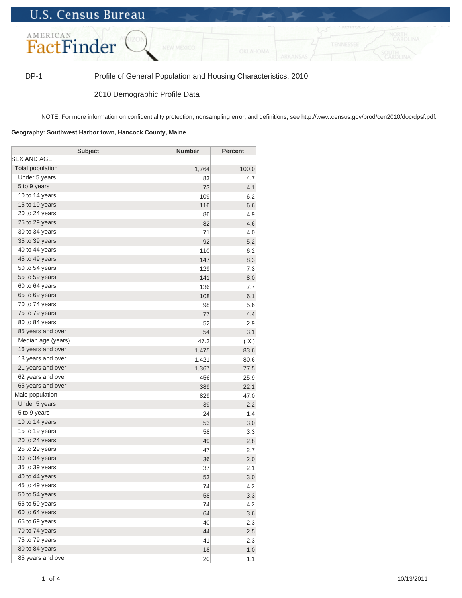## **U.S. Census Bureau**



DP-1 Profile of General Population and Housing Characteristics: 2010

2010 Demographic Profile Data

NOTE: For more information on confidentiality protection, nonsampling error, and definitions, see http://www.census.gov/prod/cen2010/doc/dpsf.pdf.

## **Geography: Southwest Harbor town, Hancock County, Maine**

| <b>Subject</b>     | <b>Number</b> | <b>Percent</b> |
|--------------------|---------------|----------------|
| SEX AND AGE        |               |                |
| Total population   | 1,764         | 100.0          |
| Under 5 years      | 83            | 4.7            |
| 5 to 9 years       | 73            | 4.1            |
| 10 to 14 years     | 109           | 6.2            |
| 15 to 19 years     | 116           | 6.6            |
| 20 to 24 years     | 86            | 4.9            |
| 25 to 29 years     | 82            | 4.6            |
| 30 to 34 years     | 71            | 4.0            |
| 35 to 39 years     | 92            | 5.2            |
| 40 to 44 years     | 110           | 6.2            |
| 45 to 49 years     | 147           | 8.3            |
| 50 to 54 years     | 129           | 7.3            |
| 55 to 59 years     | 141           | 8.0            |
| 60 to 64 years     | 136           | 7.7            |
| 65 to 69 years     | 108           | 6.1            |
| 70 to 74 years     | 98            | 5.6            |
| 75 to 79 years     | 77            | 4.4            |
| 80 to 84 years     | 52            | 2.9            |
| 85 years and over  | 54            | 3.1            |
| Median age (years) | 47.2          | (X)            |
| 16 years and over  | 1,475         | 83.6           |
| 18 years and over  | 1,421         | 80.6           |
| 21 years and over  | 1,367         | 77.5           |
| 62 years and over  | 456           | 25.9           |
| 65 years and over  | 389           | 22.1           |
| Male population    | 829           | 47.0           |
| Under 5 years      | 39            | 2.2            |
| 5 to 9 years       | 24            | 1.4            |
| 10 to 14 years     | 53            | 3.0            |
| 15 to 19 years     | 58            | 3.3            |
| 20 to 24 years     | 49            | 2.8            |
| 25 to 29 years     | 47            | 2.7            |
| 30 to 34 years     | 36            | 2.0            |
| 35 to 39 years     | 37            | 2.1            |
| 40 to 44 years     | 53            | 3.0            |
| 45 to 49 years     | 74            | 4.2            |
| 50 to 54 years     | 58            | 3.3            |
| 55 to 59 years     | 74            | 4.2            |
| 60 to 64 years     | 64            | 3.6            |
| 65 to 69 years     | 40            | 2.3            |
| 70 to 74 years     | 44            | 2.5            |
| 75 to 79 years     | 41            | 2.3            |
| 80 to 84 years     | 18            | 1.0            |
| 85 years and over  | 20            | 1.1            |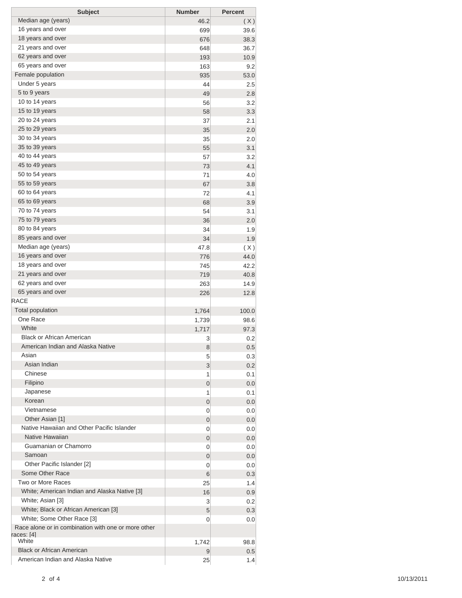| <b>Subject</b>                                      | <b>Number</b> | <b>Percent</b> |
|-----------------------------------------------------|---------------|----------------|
| Median age (years)                                  | 46.2          | (X)            |
| 16 years and over                                   | 699           | 39.6           |
| 18 years and over                                   | 676           | 38.3           |
| 21 years and over                                   | 648           | 36.7           |
| 62 years and over                                   | 193           | 10.9           |
| 65 years and over                                   | 163           | 9.2            |
| Female population                                   | 935           | 53.0           |
| Under 5 years                                       | 44            | 2.5            |
| 5 to 9 years                                        | 49            | 2.8            |
| 10 to 14 years                                      | 56            | 3.2            |
| 15 to 19 years                                      | 58            | 3.3            |
| 20 to 24 years                                      | 37            | 2.1            |
| 25 to 29 years                                      | 35            | 2.0            |
| 30 to 34 years                                      | 35            | 2.0            |
| 35 to 39 years                                      | 55            | 3.1            |
| 40 to 44 years                                      | 57            | 3.2            |
| 45 to 49 years                                      | 73            | 4.1            |
| 50 to 54 years                                      | 71            | 4.0            |
| 55 to 59 years                                      | 67            | 3.8            |
| 60 to 64 years                                      | 72            | 4.1            |
| 65 to 69 years                                      | 68            | 3.9            |
| 70 to 74 years                                      | 54            | 3.1            |
| 75 to 79 years                                      | 36            | 2.0            |
| 80 to 84 years                                      | 34            | 1.9            |
| 85 years and over                                   | 34            | 1.9            |
| Median age (years)                                  | 47.8          | (X)            |
| 16 years and over                                   | 776           | 44.0           |
| 18 years and over                                   | 745           | 42.2           |
| 21 years and over                                   | 719           | 40.8           |
| 62 years and over                                   | 263           | 14.9           |
| 65 years and over                                   | 226           | 12.8           |
| <b>RACE</b>                                         |               |                |
| <b>Total population</b>                             | 1,764         | 100.0          |
| One Race                                            | 1,739         | 98.6           |
| White                                               | 1,717         | 97.3           |
| <b>Black or African American</b>                    | 3             | 0.2            |
| American Indian and Alaska Native                   | 8             | 0.5            |
| Asian                                               | 5             | 0.3            |
| Asian Indian                                        | 3             | 0.2            |
| Chinese                                             | 1             | 0.1            |
| Filipino                                            | 0             | 0.0            |
| Japanese                                            | 1             | 0.1            |
| Korean                                              | 0             | 0.0            |
| Vietnamese                                          | 0             | 0.0            |
| Other Asian [1]                                     | 0             | 0.0            |
| Native Hawaiian and Other Pacific Islander          | 0             | 0.0            |
| Native Hawaiian                                     | 0             | 0.0            |
| Guamanian or Chamorro                               | 0             | 0.0            |
| Samoan                                              | 0             | 0.0            |
| Other Pacific Islander [2]                          | 0             | 0.0            |
| Some Other Race                                     | 6             | 0.3            |
| Two or More Races                                   | 25            | 1.4            |
| White; American Indian and Alaska Native [3]        | 16            | 0.9            |
| White; Asian [3]                                    | 3             | 0.2            |
| White; Black or African American [3]                | 5             | 0.3            |
| White; Some Other Race [3]                          | 0             | 0.0            |
| Race alone or in combination with one or more other |               |                |
| races: [4]                                          |               |                |
| White                                               | 1,742         | 98.8           |
| <b>Black or African American</b>                    | 9             | 0.5            |
| American Indian and Alaska Native                   | 25            | 1.4            |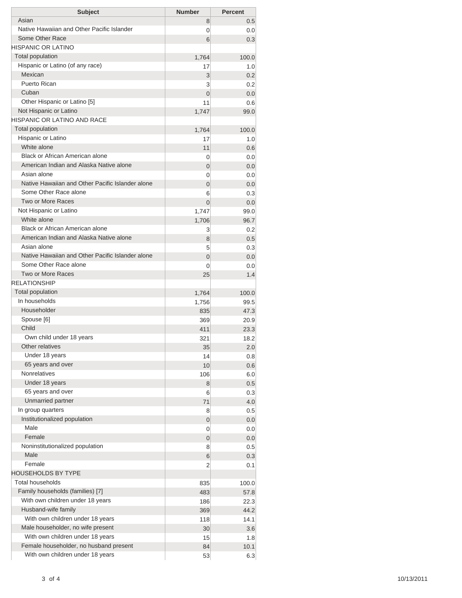| Asian<br>Native Hawaiian and Other Pacific Islander<br>Some Other Race     |                |              |
|----------------------------------------------------------------------------|----------------|--------------|
|                                                                            | 8              | 0.5          |
|                                                                            | 0              | 0.0          |
|                                                                            | 6              | 0.3          |
| HISPANIC OR LATINO                                                         |                |              |
| <b>Total population</b>                                                    | 1,764          | 100.0        |
| Hispanic or Latino (of any race)                                           | 17             | 1.0          |
| Mexican                                                                    | 3              | 0.2          |
| Puerto Rican                                                               | 3              | 0.2          |
| Cuban                                                                      | $\overline{0}$ | 0.0          |
| Other Hispanic or Latino [5]                                               | 11             | 0.6          |
| Not Hispanic or Latino<br>HISPANIC OR LATINO AND RACE                      | 1,747          | 99.0         |
| <b>Total population</b>                                                    |                |              |
| Hispanic or Latino                                                         | 1,764          | 100.0        |
| White alone                                                                | 17             | 1.0          |
| Black or African American alone                                            | 11<br>0        | 0.6<br>0.0   |
| American Indian and Alaska Native alone                                    | 0              | 0.0          |
| Asian alone                                                                | 0              | 0.0          |
| Native Hawaiian and Other Pacific Islander alone                           | $\overline{0}$ | 0.0          |
| Some Other Race alone                                                      | 6              | 0.3          |
| Two or More Races                                                          | 0              | 0.0          |
| Not Hispanic or Latino                                                     | 1,747          | 99.0         |
| White alone                                                                | 1,706          | 96.7         |
| Black or African American alone                                            | 3              | 0.2          |
| American Indian and Alaska Native alone                                    | 8              | 0.5          |
| Asian alone                                                                | 5              | 0.3          |
| Native Hawaiian and Other Pacific Islander alone                           | $\overline{0}$ | 0.0          |
| Some Other Race alone                                                      | 0              | 0.0          |
| Two or More Races                                                          | 25             | 1.4          |
| <b>RELATIONSHIP</b>                                                        |                |              |
| Total population                                                           | 1,764          | 100.0        |
| In households                                                              | 1,756          | 99.5         |
| Householder                                                                | 835            | 47.3         |
| Spouse [6]                                                                 | 369            | 20.9         |
| Child                                                                      | 411            | 23.3         |
| Own child under 18 years                                                   | 321            | 18.2         |
| Other relatives                                                            | 35             | 2.0          |
| Under 18 years                                                             | 14             | 0.8          |
| 65 years and over                                                          | 10             | 0.6          |
| <b>Nonrelatives</b>                                                        | 106            | 6.0          |
| Under 18 years                                                             | 8              | 0.5          |
| 65 years and over                                                          | 6              | 0.3          |
| Unmarried partner                                                          | 71             | 4.0          |
| In group quarters                                                          | 8              | 0.5          |
| Institutionalized population                                               | 0              | 0.0          |
| Male<br>Female                                                             | 0              | 0.0          |
|                                                                            | 0              | 0.0          |
| Noninstitutionalized population<br>Male                                    | 8              | 0.5          |
| Female                                                                     | 6              | 0.3          |
| HOUSEHOLDS BY TYPE                                                         | 2              | 0.1          |
| <b>Total households</b>                                                    |                |              |
|                                                                            | 835            | 100.0        |
|                                                                            | 483            | 57.8         |
| Family households (families) [7]                                           | 186            | 22.3<br>44.2 |
| With own children under 18 years                                           |                |              |
| Husband-wife family                                                        | 369            |              |
| With own children under 18 years                                           | 118            | 14.1         |
| Male householder, no wife present                                          | 30             | 3.6          |
| With own children under 18 years<br>Female householder, no husband present | 15<br>84       | 1.8<br>10.1  |